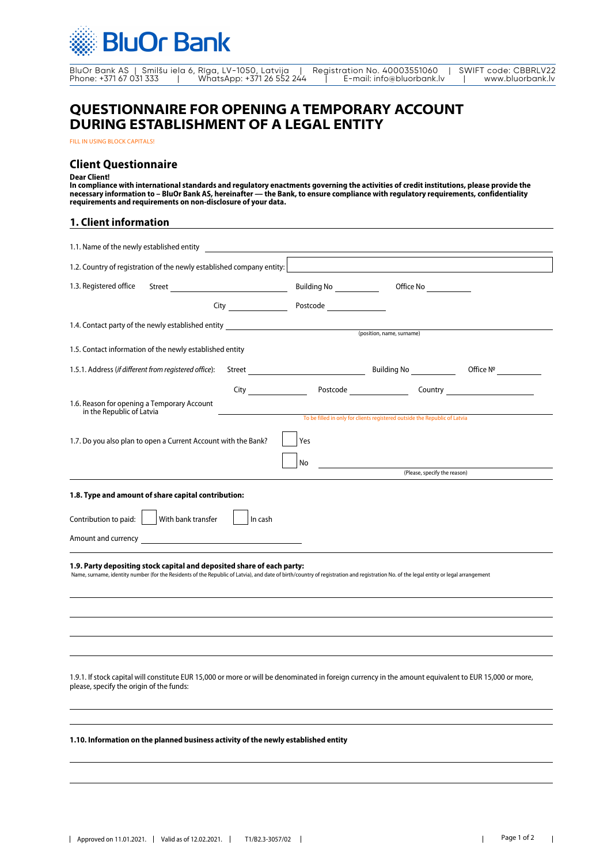

BluOr Bank AS | Smilšu iela 6, Rīga, LV-1050, Latvija | Registration No. 40003551060 | SWIFT code: CBBRLV22 Phone: +371 67 031 333 | WhatsApp: +371 26 552 244 | E-mail: info@bluorbank.lv | www.bluorbank.lv

# **QUESTIONNAIRE FOR OPENING A TEMPORARY ACCOUNT DURING ESTABLISHMENT OF A LEGAL ENTITY**

FILL IN USING BLOCK CAPITALS!

### **Client Questionnaire**

#### **Dear Client!**

**In compliance with international standards and regulatory enactments governing the activities of credit institutions, please provide the necessary information to – BluOr Bank AS, hereinafter — the Bank, to ensure compliance with regulatory requirements, confidentiality requirements and requirements on non-disclosure of your data.**

### **1. Client information**

| 1.2. Country of registration of the newly established company entity:                                                                                                                                                                                           |                                                                                                                                                                                                                                      |                                                                            | $\vert \vert$ |
|-----------------------------------------------------------------------------------------------------------------------------------------------------------------------------------------------------------------------------------------------------------------|--------------------------------------------------------------------------------------------------------------------------------------------------------------------------------------------------------------------------------------|----------------------------------------------------------------------------|---------------|
| 1.3. Registered office                                                                                                                                                                                                                                          |                                                                                                                                                                                                                                      |                                                                            |               |
|                                                                                                                                                                                                                                                                 | Postcode _________________                                                                                                                                                                                                           |                                                                            |               |
| 1.4. Contact party of the newly established entity _____________________________                                                                                                                                                                                |                                                                                                                                                                                                                                      |                                                                            |               |
| 1.5. Contact information of the newly established entity                                                                                                                                                                                                        |                                                                                                                                                                                                                                      | (position, name, surname)                                                  |               |
| 1.5.1. Address (if different from registered office):                                                                                                                                                                                                           |                                                                                                                                                                                                                                      |                                                                            |               |
|                                                                                                                                                                                                                                                                 | City <b>Communist Communist Communist Communist Communist Communist Communist Communist Communist Communist Communist Communist Communist Communist Communist Communist Communist Communist Communist Communist Communist Commun</b> |                                                                            |               |
| 1.6. Reason for opening a Temporary Account<br>in the Republic of Latvia                                                                                                                                                                                        |                                                                                                                                                                                                                                      | To be filled in only for clients registered outside the Republic of Latvia |               |
|                                                                                                                                                                                                                                                                 |                                                                                                                                                                                                                                      |                                                                            |               |
| 1.7. Do you also plan to open a Current Account with the Bank?                                                                                                                                                                                                  | Yes                                                                                                                                                                                                                                  |                                                                            |               |
|                                                                                                                                                                                                                                                                 | No                                                                                                                                                                                                                                   | (Please, specify the reason)                                               |               |
|                                                                                                                                                                                                                                                                 |                                                                                                                                                                                                                                      |                                                                            |               |
| 1.8. Type and amount of share capital contribution:                                                                                                                                                                                                             |                                                                                                                                                                                                                                      |                                                                            |               |
| Contribution to paid:<br>With bank transfer<br>In cash                                                                                                                                                                                                          |                                                                                                                                                                                                                                      |                                                                            |               |
| Amount and currency and the state of the state of the state of the state of the state of the state of the state of the state of the state of the state of the state of the state of the state of the state of the state of the                                  |                                                                                                                                                                                                                                      |                                                                            |               |
| 1.9. Party depositing stock capital and deposited share of each party:<br>Name, surname, identity number (for the Residents of the Republic of Latvia), and date of birth/country of registration and registration No. of the legal entity or legal arrangement |                                                                                                                                                                                                                                      |                                                                            |               |
|                                                                                                                                                                                                                                                                 |                                                                                                                                                                                                                                      |                                                                            |               |
|                                                                                                                                                                                                                                                                 |                                                                                                                                                                                                                                      |                                                                            |               |
|                                                                                                                                                                                                                                                                 |                                                                                                                                                                                                                                      |                                                                            |               |
| 1.9.1. If stock capital will constitute EUR 15,000 or more or will be denominated in foreign currency in the amount equivalent to EUR 15,000 or more,<br>please, specify the origin of the funds:                                                               |                                                                                                                                                                                                                                      |                                                                            |               |
|                                                                                                                                                                                                                                                                 |                                                                                                                                                                                                                                      |                                                                            |               |
| 1.10. Information on the planned business activity of the newly established entity                                                                                                                                                                              |                                                                                                                                                                                                                                      |                                                                            |               |
|                                                                                                                                                                                                                                                                 |                                                                                                                                                                                                                                      |                                                                            |               |